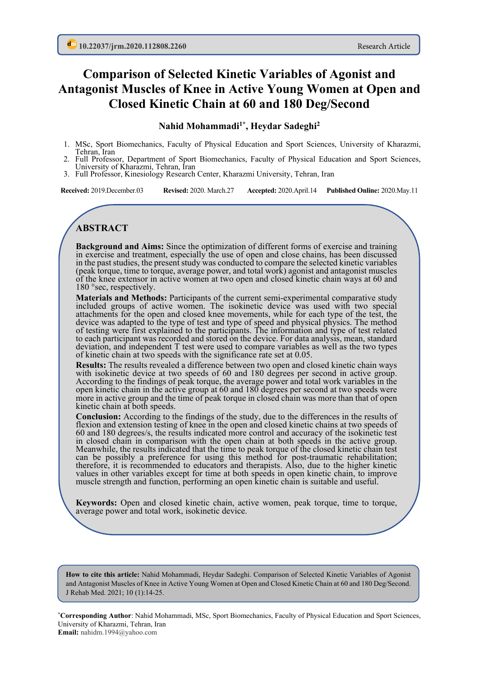# **Comparison of Selected Kinetic Variables of Agonist and Antagonist Muscles of Knee in Active Young Women at Open and Closed Kinetic Chain at 60 and 180 Deg/Second**

### **Nahid Mohammadi1\*, Heydar Sadeghi2**

- 1. MSc, Sport Biomechanics, Faculty of Physical Education and Sport Sciences, University of Kharazmi, Tehran, Iran
- 2. Full Professor, Department of Sport Biomechanics, Faculty of Physical Education and Sport Sciences, University of Kharazmi, Tehran, Iran
- 3. Full Professor, Kinesiology Research Center, Kharazmi University, Tehran, Iran

**Received:** 2019.December.03 **Revised:** 2020. March.27 **Accepted:** 2020.April.14 **Published Online:** 2020.May.11

## **ABSTRACT**

**Background and Aims:** Since the optimization of different forms of exercise and training in exercise and treatment, especially the use of open and close chains, has been discussed in the past studies, the present study was conducted to compare the selected kinetic variables (peak torque, time to torque, average power, and total work) agonist and antagonist muscles of the knee extensor in active women at two open and closed kinetic chain ways at 60 and 180 °sec, respectively.

**Materials and Methods:** Participants of the current semi-experimental comparative study included groups of active women. The isokinetic device was used with two special attachments for the open and closed knee movements, while for each type of the test, the device was adapted to the type of test and type of speed and physical physics. The method of testing were first explained to the participants. The information and type of test related to each participant was recorded and stored on the device. For data analysis, mean, standard deviation, and independent T test were used to compare variables as well as the two types of kinetic chain at two speeds with the significance rate set at 0.05.

**Results:** The results revealed a difference between two open and closed kinetic chain ways with isokinetic device at two speeds of 60 and 180 degrees per second in active group. According to the findings of peak torque, the average power and total work variables in the open kinetic chain in the active group at 60 and 180 degrees per second at two speeds were more in active group and the time of peak torque in closed chain was more than that of open kinetic chain at both speeds.

**Conclusion:** According to the findings of the study, due to the differences in the results of flexion and extension testing of knee in the open and closed kinetic chains at two speeds of 60 and 180 degrees/s, the results indicated more control and accuracy of the isokinetic test in closed chain in comparison with the open chain at both speeds in the active group. Meanwhile, the results indicated that the time to peak torque of the closed kinetic chain test can be possibly a preference for using this method for post-traumatic rehabilitation; therefore, it is recommended to educators and therapists. Also, due to the higher kinetic values in other variables except for time at both speeds in open kinetic chain, to improve muscle strength and function, performing an open kinetic chain is suitable and useful.

**Keywords:** Open and closed kinetic chain, active women, peak torque, time to torque, average power and total work, isokinetic device.

**How to cite this article:** Nahid Mohammadi, Heydar Sadeghi. Comparison of Selected Kinetic Variables of Agonist and Antagonist Muscles of Knee in Active Young Women at Open and Closed Kinetic Chain at 60 and 180 Deg/Second. J Rehab Med. 2021; 10 (1):14-25.

**\*Corresponding Author**: Nahid Mohammadi, MSc, Sport Biomechanics, Faculty of Physical Education and Sport Sciences, University of Kharazmi, Tehran, Iran **Email:** nahidm.1994@yahoo.com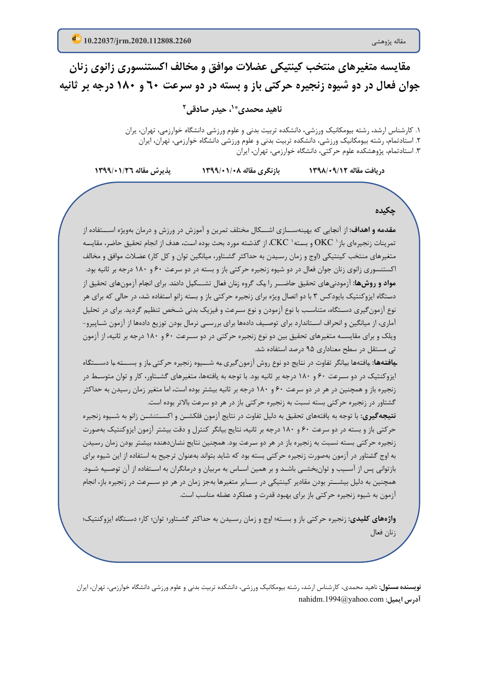مقايسه متغيرهاي منتخب کينتيکي عضلات موافق و مخالف اکستنسوري زانوي زنان جوان فعال در دو شیوه زنجیره حرکتی باز و بسته در دو سرعت **۲۰ و ۱۸۰ درجه بر ثانیه** 

**2 ، حیدر صادقی \* 1 ناهید محمدي**

.1 کارشناس ارشد، رشته بیومکانیک ورزشی، دانشکده تربیت بدنی و علوم ورزشی دانشگاه خوارزمی، تهران، یران .2 استادتمام، رشته بیومکانیک ورزشی، دانشکده تربی ت بدنی و علوم ورزشی دانشگاه خوارزمی، تهران، ایران .3 استادتمام، پژوهشکده علوم حرکت ی، دانشگاه خوارزمی، تهران، ایران

**دریافت مقاله /12 1398/09 بازنگري مقاله 1399/01/08 پذیرش مقاله 1399/01/26**

**چکیده**

**مقـدمه و اهداف:** از آنجـایی که بهینهســـازي اشـــکال مختلف تمرین و آموزش در ورزش و درمان بهویژه اســـتفاده از تمرینات زنجیرهای باز ' OKC و بسته' CKC، از گذشته مورد بحث بوده است، هدف از انجام تحقیق حاضر، مقایسه متغیرهاي منتخب کینتیکی (اوج و زمان رسـیدن به حداکثر گشـتاور، میانگین توان و کل کار) عضـلات موافق و مخالف اکستنسوري زانوي زنان جوان فعال در دو شیوه زنجیره حرکتی باز و بسته در دو سرعت 60 و 180 درجه بر ثانیه بود. **مواد و روشهـا:** آزمودنیهـاي تحقیق حـاضـــر را یـک گروه زنـان فعـال تشـــکیـل دادنـد. براي انجـام آزمونهـاي تحقیق از دسـتگاه ایزوکنتیک بایودکس 3 با دو اتصـال ویژه براي زنجیره حرکتی باز و بسـته زانو اسـتفاده شـد، در حالی که براي هر نوع آزمونگیري دسـتگاه، متناسـب با نوع آزمودن و نوع سـرعت و فیزیک بدنی شـخص تنظیم گردید. براي در تحلیل آماري ، از میانگین و انحراف اســتاندارد براي توصــیف دادهها براي بررســی نرمال بودن توزیع دادهها از آزمون شــاپیرو- ویلک و براي مقایســه متغیرهاي تحقیق بین دو نوع زنجیره حرکتی در دو ســرعت 60 و 180 درجه بر ثانیه، از آزمون تی مستقل در سطح معناداري 95 درصد استفاده شد.

**یـافتـههـ ا:** یـافتـههـا بیـانگر تفـاوت در نتـایج دو نوع روش آزمونگیري بـه شـــیوه زنجیره حرکتی بـاز و بســـتـه بـا دســـتگـاه ایزوکنتیک در دو سـرعت 60 و 180 درجه بر ثانیه بود. با توجه به یافتهها، متغیرهاي گشـتاور، کار و توان متوسـط در زنجیره باز و همچنین در هر در دو سرعت 60 و 180 درجه بر ثانیه بیشتر بوده است، اما متغیر زمان رسیدن به حداکثر گشتاور در زنجیره حرکتی بسته نسبت به زنجیره حرکتی باز در هر دو سرعت بالاتر بوده است.

**نتیجهگیري:** با توجه به یافتههاي تحقیق به دلیل تفاوت در نتایج آزمون فلکشــن و اکســتنشــن زانو به شــیوه زنجیره حرکتی باز و بسته در دو سرعت 60 و 180 درجه بر ثانیه، نتایج بیانگر کنترل و دقت بیشتر آزمون ایزوکنتیک بهصورت زنجیره حرکتی بسـته نسـبت به زنجیره باز در هر دو سـرعت بود. همچنین نتایج نشـاندهنده بیشـتر بودن زمان رسـیدن به اوج گشـتاور در آزمون بهصورت زنجیره حرکتی بسته بود که شاید بتواند بهعنوان ترجیح به استفاده از این شیوه برا ي بازتوانی پس از آسـیب و توانبخشـی باشـد و بر همین اسـاس به مربیان و درمانگران به اسـتفاده از آن توصـیه شـود. همچنین به دلیل بیشــتر بودن مقادیر کینتیکی در ســایر متغیرها بهجز زمان در هر دو ســرعت در زنجیره باز، انجام آزمون به شیوه زنجیره حرکتی باز براي بهبود قدرت و عملکرد عضله مناسب است.

**واژههاي کلیدي:** زنجیره حرکتی باز و بسـته؛ اوج و زمان رسـیدن به حداکثر گشـتاور؛ توان؛ کار؛ دسـتگاه ایزوکنتیک ؛ زنان فعال

**نویسنده مسئول:** ناهید محمدی، کارشناس ارشد، رشته بیومکانیک ورزشی، دانشکده تربیت بدنی و علوم ورزشی دانشگاه خوارزمی، تهران، ایران nahidm.1994@yahoo.com **:ایمیل آدرس**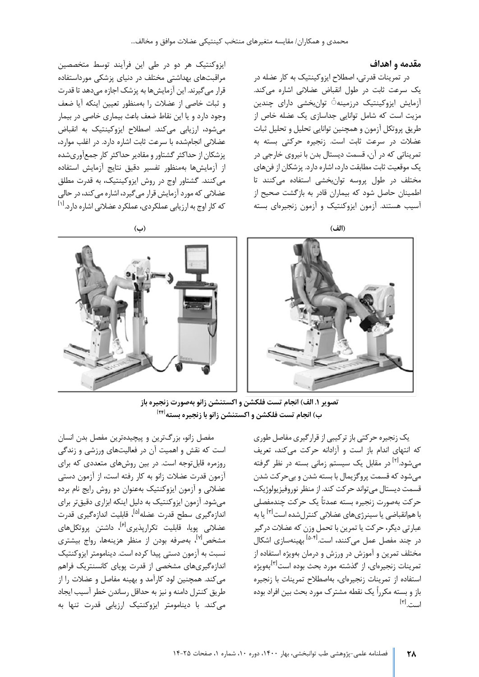#### **مقدمه و اهداف**

 $\lbrack \mathsf{r} \rbrack$ است.

در تمرینات قدرتی، اصطلاح ایزوکینتیک به کار عضله در یک سرعت ثابت در طول انقباض عضلانی اشاره میکند. آزمایش ایزوکینتیک درزمینه ٔ توانبخشی دارای چندین مزیت است که شامل توانایی جداسازی یک عضله خاص از طریق پروتکل آزمون و همچنین توانایی تحلیل و تحلیل ثبات عضلات در سرعت ثابت است. زنجیره حرکتی بسته به تمریناتی که در آن، قسمت دیستال بدن با نیروی خارجی در یک موقعیت ثابت مطابقت دارد، اشاره دارد. پزشکان از فنهای مختلف در طول پروسه توان بخشی استفاده می کنند تا اطمینان حاصل شود که بیماران قادر به بازگشت صحیح از آسیب هستند. آزمون ایزوکنتیک و آزمون زنجیرهای بسته

ایزوکنتیک هر دو در طی این فرآیند توسط متخصصین مراقبتهای بهداشتی مختلف در دنیای پزشکی مورداستفاده قرار می گیرند. این آزمایش ها به پزشک اجازه میدهد تا قدرت و ثبات خاصی از عضلات را بهمنظور تعیین اینکه آیا ضعف وجود دارد و یا این نقاط ضعف باعث بیماری خاصی در بیمار می شود، ارزیابی می کند. اصطلاح ایزوکینتیک به انقباض عضلانی انجام شده با سرعت ثابت اشاره دارد. در اغلب موارد، پزشکان از حداکثر گشتاور و مقادیر حداکثر کار جمعآوریشده از آزمایشها بهمنظور تفسیر دقیق نتایج آزمایش استفاده می کنند. گشتاور اوج در روش ایزوکینتیک، به قدرت مطلق عضلانی که مورد آزمایش قرار می گیرد، اشاره می کند، در حالی که کار اوج به ارزیابی عملکردی، عملکرد عضلانی اشاره دارد.<sup>[۱]</sup>



**تصویر .1 الف) انجام تست فلکشن و اکستنشن زانو به صورت زنجیره باز [24 ] ب ) انجام تست فلکشن و اکستنشن زانو با زنجیره بسته** 

یک زنجیره حرکتی باز ترکیبی از قرارگیری مفاصل طوری که انتهای اندام باز است و آزادانه حرکت می کند، تعریف می شود.<sup>[۲]</sup> در مقابل یک سیستم زمانی بسته در نظر گرفته می شود که قسمت پروگزیمال با بسته شدن و بی حرکت شدن قسمت دیستال می تواند حرکت کند. از منظر نوروفیزیولوژیک، حرکت به صورت زنجیره بسته عمدتاً یک حرکت چندمفصلی با همانقباضی یا سینرژیهای عضلانی کنترل شده است<sup>[۲]</sup> یا به عبارتی دیگر، حرکت یا تمرین با تحمل وزن که عضلات درگیر در چند مفصل عمل میکنند، است.<sup>[1</sup>-<sup>۱۵</sup> بهینهسازی اشکال مختلف تمرین و آموزش در ورزش و درمان بهویژه استفاده از تمرينات زنجير ماي، از گذشته مورد بحث بوده است<sup>۳۱]</sup>.بهويژه استفاده از تمرینات زنجیرهای، به اصطلاح تمرینات با زنجیره باز و بسته مکرراً یک نقطه مشترک مورد بحث بین افراد بوده

مفصل زانو، بزرگترین و پیچیدهترین مفصل بدن انسان است که نقش و اهمیت آن در فعالیتهای ورزشی و زندگی روزمره قابل توجه است. در بين روش هاى متعددى كه براى آزمون قدرت عضلات زانو به کار رفته است، از آزمون دست ی عضلانی و آزمون ایزوکنتیک بهعنوان دو روش رایج نام برده میشود. آزمون ایزوکنتیک به دلیل اینکه ابزاری دقیقتر برای اندازه *گ*یری سطح قدرت عضله<sup>[۵]</sup>، قابلیت اندازهگیری قدرت عضلانی پویا، قابلیت تکرارپذیری<sup>[۶]</sup>، داشتن پروتکلهای مشخص<sup>۷۱]</sup>، بهصرفه بودن از منظر هزینهها، رواج بیشتری نسبت به آزمون دستی پیدا کرده است. دینامومتر ایزوکنتیک اندازه گیری های مشخصی از قدرت پویای کانسنتریک فراهم می کند. همچنین لود کارآمد و بهینه مفاصل و عضلات را از طریق کنترل دامنه و نیز به حداقل رساندن خطر آسیب ایجاد می کند. با دینامومتر ایزوکنتیک ارزیابی قدرت تنها به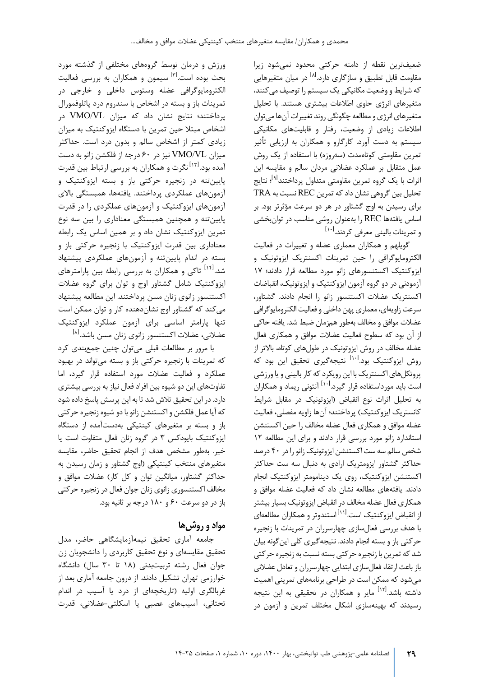ضعیف ترین نقطه از دامنه حرکتی محدود نمی شود زیرا مقاومت قابل تطبیق و سازگاری دارد.<sup>[۸]</sup> در میان متغیرهایی که شرایط و وضعیت مکانیکی یک سیستم را توصیف می کنند، متغیرهای انرژی حاوی اطلاعات بیشتری هستند. با تحلیل متغیرهای انرژی و مطالعه چگونگی روند تغییرات آنها می توان اطلاعات زیادی از وضعیت، رفتار و قابلیتهای مکانیکی سیستم به دست آورد. کارگارو و همکاران به ارزیابی تأثیر تمرین مقاومتی کوتاهمدت (سهروزه) با استفاده از یک روش عمل متقابل بر عملکرد عضلانی مردان سالم و مقایسه این ثرات با یک گروه تمرین مقاومتی متداول پرداختند<sup>ا۹</sup>! نتایج تحلیل بین گروهی نشان داد که تمرین REC نسبت به TRA برای رسيدن به اوج گشتاور در هر دو سرعت مؤثرتر بود. بر اساس یافتهها REC را بهعنوان روشی مناسب در توان بخشی و تمرینات بالینی معرفی کردند.<sup>[۱۰]</sup>

گویلهم و همکاران معماری عضله و تغییرات در فعالیت الکترومایوگرافی را حین تمرینات اکسنتریک ایزوتونیک و ايزوكنتيک اکستنسورهاى زانو مورد مطالعه قرار دادند؛ ١٧ آزمودنی در دو گروه آزمون ایزوکنتیک و ایزوتونیک، انقباضات اکسنتر ی ک عضلات اکستنسور زانو را انجام دادند. گشتاور، سرعت زاويهاي، معماري پهن داخلي و فعاليت الكترومايوگرافي عضلات موافق و مخالف به طور همزمان ضبط شد. یافته حاکی از آن بود که سطوح فعالیت عضلات موافق و همکاری فعال عضله مخالف در روش ایزوتونیک در طول های کوتاه، بالاتر از روش ایزوکنتیک بود.<sup>[۱۰]</sup> نتیجهگیری تحقیق این بود که پروتکل های اکسنتر یک با این رویکرد که کار بالینی و یا ورزشی است باید مورداستفاده قرار گیرد.<sup>[۱۰]</sup> آنتونی ریماد و همکاران به تحلیل اثرات نوع انقباض (ایزوتونیک در مقابل شرایط کانستریک ایزوکنتیک) پرداختند؛ آنها زاویه مفصلی، فعالیت عضله موافق و همکاری فعال عضله مخالف را حین اکستنشن استاندارد زانو مورد بررسی قرار دادند و برای این مطالعه ١٢ شخص سالم سه ست اکستنشن ایزوتونیک زانو را در ۴۰ درصد حداکثر گشتاور ایزومتریک ارادی به دنبال سه ست حداکثر اکستنشن ایزوکنتیک، روی یک دینامومتر ایزوکنتیک انجام دادند. یافتههای مطالعه نشان داد که فعالیت عضله موافق و همکاری فعال عضله مخالف در انقباض ایزوتونیک بسیار بیشتر از انقباض ايزوكنتيک است.<sup>[۱۱]</sup> استندوتر و همکاران مطالعهای با هدف بررسی فعال سازی چهارسرران در تمرینات با زنجیره حرکتی باز و بسته انجام دادند. نتیجه گیری کلی این گونه بیان شد که تمرین با زنجیره حرکتی بسته نسبت به زنجیره حرکتی باز باعث ارتقاء فعال ساز ي ابتدا یی چهارسرران و تعادل عضلان ی می شود که ممکن است در طراحی برنامههای تمرینی اهمیت داشته باشد.<sup>ا۱۲</sup> مایر و همکاران در تحقیقی به این نتیجه رسیدند که بهینهسازی اشکال مختلف تمرین و آزمون در

ورزش و درمان توسط گروه هاي مختلفی از گذشته مورد بحث بوده است.<sup>[۳]</sup> سیمون و همکاران به بررسی فعالیت الکترومایوگرافی عضله وستوس داخلی و خارجی در تمرینات باز و بسته در اشخاص با سندروم درد پاتلوفمورال پرداختند؛ نتایج نشان داد که میزان VL/VMO در اشخاص مبتلا حین تمرین با دستگاه ایزوکنتیک به میزان زیادي کمتر از اشخاص سالم و بدون درد است. حداکثر میزان VL/VMO نیز در 60 درجه از فلکشن زانو به دست آمده بود.<sup>[۱۳]</sup> نگرت و همکاران به بررسی ارتباط بین قدرت پایین تنه در زنجیره حرکتی باز و بسته ایزوکنتیک و آزمونهاي عملكردي پرداختند. یافتهها، همبستگي بالاي آزمونهاي ا یزوکنتیک و آزمونهاي عملکردي را در قدرت پایین تنه و همچنین همبستگی معناداري را بین سه نوع تمرین ایزوکنتیک نشان داد و بر همین اساس یک رابطه معناداری بین قدرت ایزوکنتیک با زنجیره حرکتی باز و بسته در اندام پایینتنه و آزمونهای عملکردی پیشنهاد شد.<sup>[۱۴]</sup> تاکی و همکاران به بررسی رابطه بین پارامترهای ایزوکنتیک شامل گشتاور اوج و توان براي گروه عضلات اکستنسور زانوي زنان مسن پرداختند. این مطالعه پیشنهاد می کند که گشتاور اوج نشاندهنده کار و توان ممکن است تنها پارامتر اساسی براي آزمون عملکرد ا یزوکنتیک عضلانی، عضلات اکستنسور زانوی زنان مسن باشد.<sup>[۸]</sup>

با مرور بر مطالعات قبلی می توان چنین جمع بندی کرد که تمرینات با زنجیره حرکتی باز و بسته می تواند در بهبود عملکرد و فعالیت عضلات مورد استفاده قرار گیرد، اما تفاوتهای این دو شیوه بین افراد فعال نیاز به بررسی بیشتری دارد. در این تحقیق تلاش شد تا به این پرسش پاسخ داده شود که آیا عمل فلکشن و اکستنشن زانو با دو شیوه زنجیره حرکتی باز و بسته بر متغیرهای کینتیکی بهدستآمده از دستگاه ایزوکنتیک بایودکس ۳ در گروه زنان فعال متفاوت است یا خیر. به طور مشخص هدف از انجام تحقیق حاضر، مقایسه متغیرهای منتخب کینتیکی (اوج گشتاور و زمان رسیدن به حداکثر گشتاور، میانگین توان و کل کار) عضلات موافق و مخالف اکستنسوري زانوي زنان جوان فعال در زنجيره حركتي باز در دو سرعت ۶۰ و ۱۸۰ درجه بر ثانیه بود.

# **مواد و روش ها**

جامعه آماری تحقیق نیمهآزمایشگاهی حاضر، مدل تحقیق مقایسهاي و نوع تحقیق کاربردي را دانشجویان زن جوان فعال رشته تربیت بدنی ( 18 تا 30 سال) دانشگاه خوارزمی تهران تشکیل دادند. از درون جامعه آمار ي بعد از غربالگري اولیه (تاریخچهاي از درد یا آسیب در اندام تحتانی، آسیبهای عصبی یا اسکلتی-عضلانی، قدرت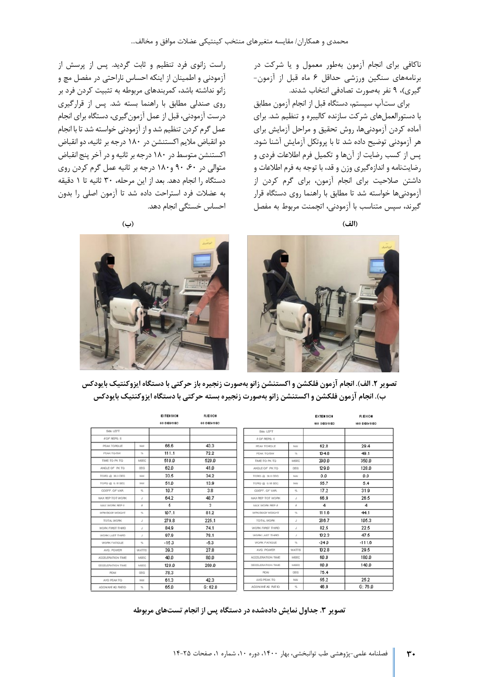ناکافی براي انجام آزمون بهطور معمول و یا شرکت در برنامههای سنگین ورزشی حداقل ۶ ماه قبل از آزمون-گیري )، 9 نفر به صورت تصادفی انتخاب شدند.

براي ستآپ سيستم، دستگاه قبل از انجام آزمون مطابق با دستورالعمل های شرکت سازنده کاليبره و تنظيم شد. برای آماده کردن آزمودنی ها، روش تحقیق و مراحل آزمایش برای هر آزمودنی توضیح داده شد تا با پروتکل آزمایش آشنا شود. پس از کسب رضايت از آنها و تکميل فرم اطلاعات فردي و رضا ی ت نامه و اندازه گیري وزن و قد، با توجه به فرم اطلاعات و داشتن صلاحیت برای انجام آزمون، برای گرم کردن از آزمودنیها خواسته شد تا مطابق با راهنما روی دستگاه قرار گیرند، سپس متناسب با آزمودنی، اتچمنت مربوط به مفصل

راست زانوی فرد تنظیم و ثابت گردید. پس از پرسش از آزمودنی و اطمینان از اینکه احساس ناراحتی در مفصل مچ و زانو نداشته باشد، کمربندهای مربوطه به تثبیت کردن فرد بر روی صندلی مطابق با راهنما بسته شد. پس از قرارگیری درست آزمودني، قبل از عمل آزمون گيري، دستگاه براي انجام عمل گرم کردن تنظیم شد و از آزمودنی خواسته شد تا با انجام دو انقباض ملایم اکستنشن در ۱۸۰ درجه بر ثانیه، دو انقباض اکستنشن متوسط در ۱۸۰ در جه بر ثانیه و در آخر پنج انقباض متوالي در ۶۰، ۹۰ و ۱۸۰ درجه بر ثانيه عمل گرم کردن روي دستگاه را انجام دهد. بعد از این مرحله، ۳۰ ثانیه تا ۱ دقیقه به عضلات فرد استراحت داده شد تا آزمون اصل ی را بدون احساس خستگی انجام دهد.





**ت صویر .2 الف). انجام آزمون فلکشن و اکستنشن زا نو به صورت زنجیره باز حرکتی با دستگاه ایزوکنتیک بایودکس ب). انجام آزمون فلکشن و اکستنشن زانو به صورت زنجیره بسته ح رکتی با دستگاه ایزوکنتیک بایودکس** 

|                   |                          | <b>EXTENSION</b> | <b>FLEXION</b> |                            |                            | <b>EXTENSION</b> | <b>FLEXION</b> |
|-------------------|--------------------------|------------------|----------------|----------------------------|----------------------------|------------------|----------------|
|                   |                          | 60 DEGISED       | 60 DEO/SEC     |                            |                            | 180 DEC/DEC      | 180 DEC/DEC    |
| Side LEFT         |                          |                  |                | Side LEFT                  |                            |                  |                |
| A OF REPS: 5      |                          |                  |                | 4 OF REPS: 5               |                            |                  |                |
| PEAK TORQUE       | NA                       | 86.6             | 43.3           | PEAK TORQUE                | NM                         | 62.8             | 29.4           |
| PEAK TO/BW        | $\sim$                   | 111.1            | 72.2           | PEAK TOYEW                 | $\mathcal{H}_\bullet$      | 104.8            | 49.1           |
| TIME TO PK TO     | MSEC                     | 510.0            | 520.0          | TIME TO PK TO              | MSEC                       | 290.0            | 350.0          |
| ANGLE OF PK TO    | <b>DEG</b>               | 62.0             | 41.0           | ANGLE OF PK TO             | <b>DEG</b>                 | 129.0            | 128.0          |
| TOPO @ 30.0 DEG   | NM                       | 33.5             | 34.2           | TORO @ 30.0 DEG            | NM                         | 0.0              | 0.0            |
| TOPO @ G.18 SEC   | NA                       | 51.0             | 13.9           | TORO @ 0.18 SEC            | NM                         | 55.7             | 5.4            |
| COEFF, OF VAR.    | $\mathcal{H}_\mathrm{a}$ | 10.7             | 3.8            | COEFF. OF VAR.             | $\mathcal{H}_n$            | 17.2             | 31.9           |
| MAX REP TOT WORK  | J.                       | 64.2             | 48.7           | MAX REP TOT WORK           | J                          | 66.9             | 26.5           |
| MAX WORK REP &    | ă                        | 5                | 3              | MAX WORK REP &             | ā                          | 4                | 4              |
| WRK/BOOY WEIGHT   | $\approx$                | 107.1            | 81.2           | WRK/BOOK WEIGHT            | $\mathcal{H}_\bullet$      | 111.6            | 44.1           |
| TOTAL WORK        | s                        | 279.8            | 225.1          | TOTAL WORK                 | J                          | 286.7            | 105.3          |
| WORK FIRST THIRD  | J.                       | 84.9             | 74.1           | WORK FIRST THIRD           | J                          | 82.5             | 22.5           |
| WORK LAST THRD    | J.                       | 97.9             | 78.1           | WORK LAST THIRD            | J                          | 102.3            | 47.5           |
| WORK FATIOUS      | $\mathcal{H}_\mathrm{e}$ | $-15.3$          | $-5.3$         | WORK FATIGUE               | $\mathcal{H}_\mathrm{e}$   | $-240$           | $-111.6$       |
| AVG. POWER        | WATTS                    | 39.3             | 27.8           | AVG. POWER                 | <b>WATTS</b>               | 102.8            | 29.5           |
| AGCELERATION TIME | MSEC                     | 40.0             | 80.0           | ACCELERATION TIME          | MSEC                       | 60.0             | 180.0          |
| DECELERATION TIME | MSEC                     | 120.0            | 280.0          | DECELERATION TIME          | MSEC                       | 80.0             | 140.0          |
| <b>PICAI</b>      | <b>DEG</b>               | 78.3             |                | <b>PICHA</b>               | <b>DEG</b>                 | 75.4             |                |
| AVG PEAK TO       | NA                       | 61.3             | 42.3           | AVG PEAK TO                | NM                         | 55.2             | 25.2           |
| OLINE DI BIAVODA  | $\leq$                   | 65.0             | G: 62.0        | <b>AGON/ANE AG PAIE IO</b> | $\frac{\omega_{\rm c}}{2}$ | 46.9             | G: 76.0        |

تصویر ۳. جداول نمایش دادهشده در دستگاه پس از انجام تستهای مربوطه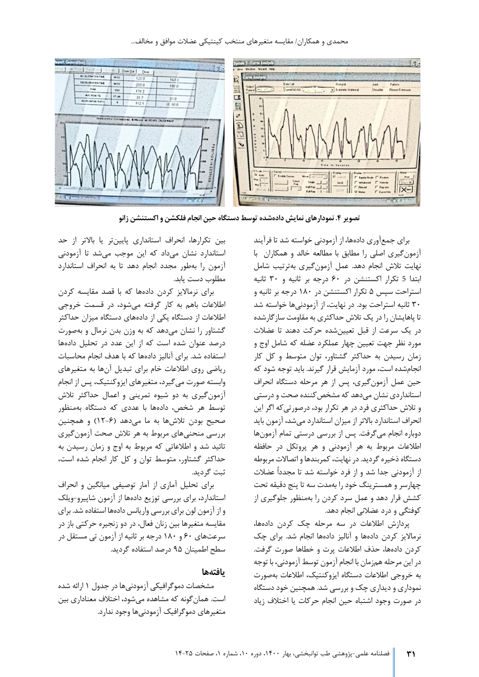

**تصویر .4 نمودارهاي نمایش داده شده توسط دستگاه حین انجام فلکشن و اکستنشن زانو** 

برای جمع آوری دادهها، از آزمودنی خواسته شد تا فرآیند آزمون گيري اصلي را مطابق با مطالعه خالد و همکاران با نهایت تلاش انجام دهد. عمل آزمون گیری بهترتیب شامل ابتدا 5 تکرار اکستنشن در ۶۰ درجه بر ثانیه و ۳۰ ثانیه استراحت سپس ۵ تکرار اکستنشن در ۱۸۰ درجه بر ثانیه و ۳۰ ثانیه استراحت بود. در نهایت، از آزمودنی ها خواسته شد تا پاهایشان را در یک تلاش حداکثری به مقاومت سازگارشده در یک سرعت از قبل تعیین شده حرکت دهند تا عضلات مورد نظر جهت تعیین چهار عملکرد عضله که شامل اوج و زمان رسیدن به حداکثر گشتاور، توان متوسط و کل کار انجام شده است، مورد آزمایش قرار گیرند. باید توجه شود که حین عمل آزمون گیری، پس از هر مرحله دستگاه انحراف استانداردی نشان می دهد که مشخص کننده صحت و درستی و تلاش حداکثری فرد در هر تکرار بود، درصورتی که اگر این انحراف استاندارد بالاتر از میزان استاندارد می شد، آزمون باید دوباره انجام می گرفت. پس از بررس ی درست ی تمام آزمون ها اطلاعات مربوط به هر آزمودنی و هر پروتکل در حافظه دستگاه ذخیره گردید. در نهایت، کمربندها و اتصالات مربوطه از آزمودنی جدا شد و از فرد خواسته شد تا مجدداً عضلات چهارسر و همسترینگ خود را بهمدت سه تا پنج دقیقه تحت کشش قرار دهد و عمل سرد کردن را بهمنظور جلوگیری از کوفتگی و درد عضلانی انجام دهد.

پردازش اطلاعات در سه مرحله چک کردن داده ها، نرمالایز کردن دادهها و آنالیز دادهها انجام شد. برای چک کردن دادهها، حذف اطلاعات پرت و خطاها صورت گرفت. در این مرحله همزمان با انجام آزمون توسط آزمودنی، با توجه به خروجی اطلاعات دستگاه ایزوکنتیک، اطلاعات بهصورت نموداری و دیداری چک و بررسی شد. همچنین خود دستگاه در صورت وجود اشتباه حین انجام حرکات یا اختلاف زیاد

بین تکرارها، انحراف استانداری پایینتر یا بالاتر از حد استاندارد نشان می داد که این موجب می شد تا آزمودنی آزمون را بهطور مجدد انجام دهد تا به انحراف استاندارد مطلوب دست ی ابد.

براي نرمالا یز کردن دادهها که با قصد مقایسه کردن اطلاعات باهم به کار گرفته می شود، در قسمت خروج ی اطلاعات از دستگاه یکی از دادههاي دستگاه میزان حداکثر گشتاور را نشان می دهد که به وزن بدن نرمال و بهصورت درصد عنوان شده است که از این عدد در تحلیل دادهها استفاده شد. برای آنالیز دادهها که با هدف انجام محاسبات یر اضی روي اطلاعات خام براي تبدیل آنها به متغیرهاي وابسته صورت می گیرد، متغیرهای ایزوکنتیک، پس از انجام آزمون گیری به دو شیوه تمرینی و اعمال حداکثر تلاش توسط هر شخص، دادهها با عددي که دستگاه به منظور صحیح بودن تلاشها به ما می دهد (۶-۱۲) و همچنین بررسی منحنیهای مربوط به هر تلاش صحت آزمون گیری تائید شد و اطلاعاتی که مربوط به اوج و زمان رسیدن به حداکثر گشتاور، متوسط توان و کل کار انجام شده است، ثبت گردید.

برای تحليل آماري از آمار توصيفي ميانگين و انحراف استاندارد، برای بررسی توزیع دادهها از آزمون شاپیرو-ویلک و از آزمون لون براي بررسي واريانس دادهها استفاده شد. براي مقایسه متغیرها بین زنان فعال، در دو زنجیره حرکتی باز در سرعتهای ۶۰ و ۱۸۰ درجه بر ثانیه از آزمون تی مستقل در سطح اطمینان ۹۵ درصد استفاده گردید.

### **یافته ها**

مشخصات دموگرافیکی آزمودنی ها در جدول ۱ ارائه شده است. همان گونه که مشاهده میشود، اختلاف معناداری بین متغير هاي دموگرافيک آزمودنی ها وجود ندارد.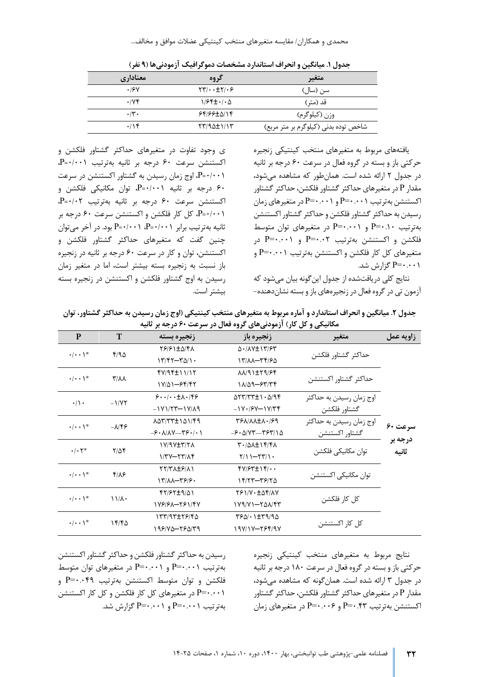محمدی و همکاران/ مقایسه متغیرهای منتخب کینتیکی عضلات موافق و مخالف...

| معناداري           | گروه                                                | متغير                                |
|--------------------|-----------------------------------------------------|--------------------------------------|
| .19V               | $\tau \tau / \cdot \cdot \pm \tau / \cdot \epsilon$ | سن (سال)                             |
| $\cdot$ /YF        | $1/95 \pm 1/6$                                      | قد (متر )                            |
| $\cdot$ /۳ $\cdot$ | 64166±5114                                          | وزن (کیلوگرم)                        |
| .19                | $\frac{1}{\sqrt{2}}$                                | شاخص توده بدنی (کیلوگرم بر متر مربع) |

**جدول .1 م ی انگ ی ن و انحراف استاند ارد مشخصات دموگرا ف ی ک آزمودنی ها ( 9 نفر)** 

ی وجود تفاوت در متغیرهای حداکثر گشتاور فلکشن و اکستنشن سرعت ۶۰ درجه بر ثانیه بهترتیب P=۰/۰۰۱ /001 0= P، اوج زمان رس ی دن به گشتاور اکستنشن در سرعت 60 درجه بر ثانیه P= $\cdot/\cdot$ ۱ توان مکانیکی فلکشن و P اکستنشن سرعت ۶۰ درجه بر ثانیه بهترتیب P=۰/۰۲، /001 0= P، کل کار فلکشن و اکستنشن سرعت 60 درجه بر ثانیه به ترتیب برابر P=٠/٠٠١ وبود. در آخر می توان P=٠/٠٠١ چنین گفت که متغیرهای حداکثر گشتاور فلکشن و اکستنشن، توان و کار در سرعت ۶۰ درجه بر ثانیه در زنجیره باز نسبت به زنجیره بسته بیشتر است، اما در متغیر زمان رسیدن به اوج گشتاور فلکشن و اکستنشن در زنجیره بسته بیشتر است.

یافتههای مربوط به متغیرهای منتخب کینتیکی زنجیره حرکتی باز و بسته در گروه فعال در سرعت ۶۰ درجه بر ثانیه در جدول 2 ارائه شده است. همان طور که مشاهده می شود ، مقدار P در متغیرهاي حداکثر گشتاور فلکشن، حداکثر گشتاور اکستنشن به ترتیب P=۰.۰۰۱ و P=۰.۰۰۱ در متغیرهای زمان رسیدن به حداکثر گشتاور فلکشن و حداکثر گشتاور اکستنشن به ترتیب ۰۰.۱۰ $P = \cdots$  و  $P = \cdots$  در متغیرهای توان متوسط فلکشن و اکستنشن بهترتیب P=۰.۰۲ و P=۰.۰۰۱ در متغیرهای کل کار فلکشن و اکستنشن بهترتیب P=۰.۰۰۱ و 0.001=P گزارش شد.

نتایج کلی در یافتشده از جدول این گونه بیان می شود که آزمون تی در گروه فعال در زنجیرههای باز و بسته نشان دهنده-

جدول ۲. میانگین و انحراف استاندارد و آماره مربوط به متغیرهای منتخب کینتیکی (اوج زمان رسیدن به حداکثر گشتاور، توان مکانیکی و کل کار) آزمودنی های گروه فعال در سرعت ۶۰ درجه بر ثانیه

| P                          | T              | زنجيره بسته                                                                                                  | زنجيره باز                                                    | متغير                    | زاويه عمل        |  |
|----------------------------|----------------|--------------------------------------------------------------------------------------------------------------|---------------------------------------------------------------|--------------------------|------------------|--|
| $\cdot/\cdot\cdot$ \*      |                | TS/S1±0/FA                                                                                                   | $\Delta$ . $/\lambda$ $\lambda + \lambda$ $\gamma$ / $\gamma$ |                          |                  |  |
|                            | 4/90           | $\frac{17}{57-70}$                                                                                           | 1٣/٨٨-٣۴/۶۵                                                   | حداكثر گشتاور فلكشن      |                  |  |
| $\cdot/\cdot\cdot$ \*      |                | fV/9fL11/17                                                                                                  | XX/91±٢9/۶۴                                                   |                          |                  |  |
|                            | <b>T/11</b>    | $1Y/\Delta 1 - 55/57$                                                                                        | 11/09-87/74                                                   | حداكثر گشتاور اكستنشن    |                  |  |
| $\cdot/\rangle$ .          | $-1/VT$        | $9 \cdot \cdot \cdot \cdot \pm \Lambda \cdot 199$                                                            | $\Delta \Upsilon \Upsilon / \Upsilon \Upsilon \pm 1.2$        | اوج زمان رسيدن به حداكثر |                  |  |
|                            |                | $-1V1/TT-1V/\lambda$ 9                                                                                       | $-1V.79V-1V/Tf$                                               | گشتاور فلكشن             |                  |  |
| $\cdot/\cdot\cdot$ \*      |                | 107/771101/69                                                                                                | <b>PSA/AAIA./S9</b>                                           | اوج زمان رسیدن به حداکثر |                  |  |
|                            | $-\lambda$ /۴۶ | $-\xi \cdot \Lambda/\Lambda V$ - $-\zeta \xi \cdot$ / $\cdot \Lambda$<br>$-F \cdot \Delta/VT - T5T/1 \Delta$ | گشتاور اکستنشن                                                | سرعت ۶۰                  |                  |  |
| $\cdot/\cdot$ $\uparrow^*$ |                | <b>IV/9Y±۳/٢۸</b>                                                                                            | X + / $\Delta\lambda$ + 1 + / 4 $\lambda$                     | توان مكانيكي فلكشن       | درجه بر<br>ثانيه |  |
|                            | $Y/\Delta f$   | $1/TV+TY/\Lambda f$                                                                                          | $Y/1 - YY/1$                                                  |                          |                  |  |
| $\cdot/\cdot\cdot$ \*      | $f/\lambda$ ۶  | <b>TY/TAIF/AI</b>                                                                                            | $fV/FT\pm\gamma f/\cdot\cdot$                                 |                          |                  |  |
|                            |                | ۱۳/۸۸-۳۶/۶۰                                                                                                  | 14/77-78/70                                                   | توان مكانيكي اكستنشن     |                  |  |
| $\cdot/\cdot\cdot$ \*      | $11/\lambda$   | FT/97±9/41                                                                                                   | 781/V. ±54/AV                                                 |                          |                  |  |
|                            |                | 179191-191147                                                                                                | $1Y9/Y1 - Y01/Y$                                              | كل كار فلكشن             |                  |  |
| $\cdot/\cdot\cdot$ \*      |                | 155/95178/40                                                                                                 | 1790/ . 1 + 79/90                                             |                          |                  |  |
|                            | 15/6           | ۱۹۶۱۷۵–۲۶۵۱۳۹                                                                                                | 19717-784197                                                  | کل کار اکستنشن           |                  |  |
|                            |                |                                                                                                              |                                                               |                          |                  |  |

رسیدن به حداکثر گشتاور فلکشن و حداکثر گشتاور اکستنشن به ترتیب P=۰.۰۰۱ و P=۰.۰۰۱ در متغیرهای توان متوسط فلکشن و توان متوسط اکستنشن بهترتیب P=۰.۰۴۹ و 0.001=P در متغیرهاي کل کار فلکشن و کل کار اکستنشن به ترتیب  $P=$ ۰۰۰۱ و  $P=$ ۰۰۰۱ گزارش شد.

نتایج مربوط به متغیرهای منتخب کینتیکی زنجیره حرکتی باز و بسته در گروه فعال در سرعت ۱۸۰ درجه بر ثانیه در جدول 3 ارائه شده است. همان گونه که مشاهده می شود، مقدار P در متغیرهای حداکثر گشتاور فلکشن، حداکثر گشتاور اکستنشن بهترتیب P=۰.۰۰۶ و P=۰.۰۰۶ در متغیرهای زمان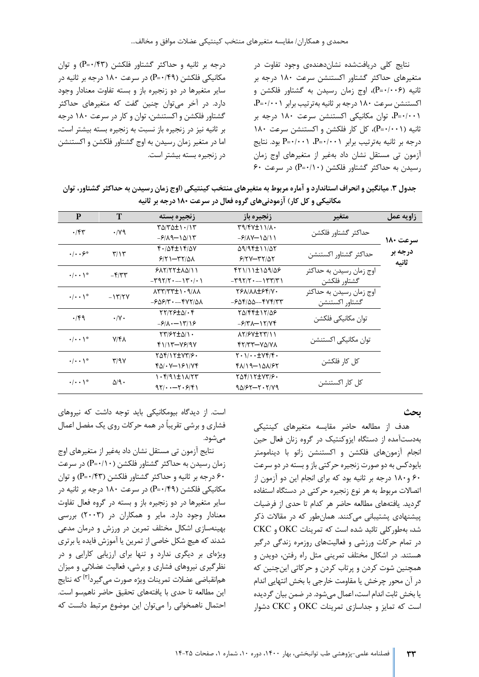نتايج کلي دريافتشده نشان دهندهي وجود تفاوت در متغیرهای حداکثر گشتاور اکستنشن سرعت ۱۸۰ درجه بر ثانیه (P=۰/۰۰۶)، اوج زمان رسیدن به گشتاور فلکشن و اکستنشن سرعت ١٨٠ درجه بر ثانيه بهترتيب برابر P=٠/٠٠١، P=۰/۰۰۱ توان مکانیکی اکستنشن سرعت ۱۸۰ درجه بر انیه ( P=٠/٠٠۱)، کل کار فلکشن و اکستنشن سرعت ۱۸۰  $P = \cdot$ درجه بر ثانیه بهترتیب برابر  $P = \cdot / \cdot \cdot P$ ، ود. نتایج آزمون تی مستقل نشان داد بهغیر از متغیرهای اوج زمان  $\mathcal{F}$ ۰ رسیدن به حداکثر گشتاور فلکشن ( P =  $(P = (P - \mathcal{F})$  در سرعت

درجه بر ثانیه و حداکثر گشتاور فلکشن (P=٠/۴۳) و توان مکانیکی فلکشن ( P=•/۴۹) در سرعت ۱۸۰ درجه بر ثانیه در سایر متغیرها در دو زنجیره باز و بسته تفاوت معنادار وجود دارد. در آخر می توان چنین گفت که متغیرهای حداکثر گشتاور فلکشن و اکستنشن، توان و کار در سرعت 180 درجه بر ثانیه نیز در زنجیره باز نسبت به زنجیره بسته بیشتر است، اما در متغیر زمان رسیدن به اوج گشتاور فلکشن و اکستنشن در زنجیره بسته بیشتر است.

جدول ۳. میانگین و انحراف استاندارد و آماره مربوط به متغیرهای منتخب کینتیکی (اوج زمان رسیدن به حداکثر گشتاور، توان مکانیکی و کل کار) آزمودنیهای گروه فعال در سرعت **۱۸۰ درجه بر ثانیه** 

| P                                 | T                        | زنجيره بسته                                                                                                                        | زنجيره باز                                                                                            | متغير                    | زاويه عمل |
|-----------------------------------|--------------------------|------------------------------------------------------------------------------------------------------------------------------------|-------------------------------------------------------------------------------------------------------|--------------------------|-----------|
| $\cdot$ /۴۳                       | $\cdot$ /yq              | $T\Delta/T\Delta t$ / $\gamma$                                                                                                     | $\uparrow$ 1/ $\uparrow$ 1/ $\uparrow$ 1/ $\uparrow$                                                  |                          |           |
|                                   |                          | $-\frac{5}{10}$ - $\frac{10}{10}$                                                                                                  | $-\frac{\rho}{\Lambda}$                                                                               | حداكثر گشتاور فلكشن      | سرعت ۱۸۰  |
| $\cdot$ $\cdot$ $\cdot$ $\circ$ * | $\mathbf{r}/\mathbf{v}$  | $f/(\Delta f \pm 1)$ $f/\Delta V$                                                                                                  | 09/9511/07                                                                                            | حداكثر گشتاور اكستنشن    | درجه بر   |
|                                   |                          | $5/5 - 5/24$                                                                                                                       | $515Y-T11AY$                                                                                          |                          | ثانيه     |
| $\cdot/\cdot\cdot$ \*             | $-\mathbf{f}/\mathbf{y}$ | 5177772011                                                                                                                         | $f(1)$ $1 + 109/09$                                                                                   | اوج زمان رسیدن به حداکثر |           |
|                                   |                          | $-\mathbf{Y} \mathbf{Y} \mathbf{Y} / \mathbf{Y} \cdot \dots \mathbf{Y} \cdot \mathbf{Y} \cdot \mathbf{Y}$                          | $ \uparrow$ 9 $\uparrow$ / $\uparrow$ $\cdot$ $ \uparrow$ $\uparrow$ $\uparrow$ $\uparrow$ $\uparrow$ | گشتاور فلکشن             |           |
| $\cdot/\cdot\cdot$ \*             | $-15/7V$                 | $\lambda$ $\uparrow$ $\uparrow$ $\uparrow$ $\uparrow$ $\uparrow$ $\uparrow$ $\uparrow$ $\uparrow$ $\uparrow$ $\uparrow$ $\uparrow$ | YSA/AA HSY/V.                                                                                         | اوج زمان رسیدن به حداکثر |           |
|                                   |                          | $-609/7$ $-60/7/2$                                                                                                                 | -۶۵۴/۵۵--۴۷۴/۳۳                                                                                       | گشتاور اکستنشن           |           |
| $\cdot$ /۴۹                       | $\cdot/\gamma$ .         | 77/79 ± 5/ . 4                                                                                                                     | TA/FF±17/AS                                                                                           | توان مكانيكي فلكشن       |           |
|                                   |                          | $-\frac{\mathcal{S}}{\lambda}$ . - $\frac{\mathcal{S}}{\lambda}$                                                                   | $-5/7\lambda - 17/7$                                                                                  |                          |           |
| $\cdot/\cdot\cdot$ \*             | <b>Y/FA</b>              | TT/FT + 0/1 .                                                                                                                      | AY/ FV + YY/ 1 1                                                                                      |                          |           |
|                                   |                          | $Y)/Y-YY/Y$                                                                                                                        | 67/77-75/78                                                                                           | توان مکانیکی اکستنشن     |           |
| $\cdot/\cdot\cdot$ \*             | T/9V                     | TAFI17±V۳/۶۰                                                                                                                       | $Y \cdot 1 / \cdot \cdot \pm Vf/f \cdot$                                                              | کل کا, فلکشن             |           |
|                                   |                          | $f\Delta$ / $\cdot$ Y-181/Yf                                                                                                       | 4119-101/67                                                                                           |                          |           |
| $\cdot/\cdot\cdot$ \*             | $\Delta$ /9.             | $\cdot$ $f(9)$ $\pm$ $\sqrt{7}$                                                                                                    | TAFIIT + VTIF.                                                                                        |                          |           |
|                                   |                          | $97/$ - $7.9/9$                                                                                                                    | $90/57 - 7.7/79$                                                                                      | کل کار اکستنشن           |           |

**بحث** 

هدف از مطالعه حاضر مقایسه متغیرهای کینتیکی به دستآمده از دستگاه ایزوکنتیک در گروه زنان فعال حین انجام آزمون هاي فلکشن و اکستنشن زانو با دينامومتر بایودکس به دو صورت زنجیره حرکتی باز و بسته در دو سرعت ۶۰ و ۱۸۰ درجه بر ثانيه بود که براي انجام اين دو آزمون از اتصالات مربوط به هر نوع زنجیره حرکتی در دستگاه استفاده گردید. یافتههای مطالعه حاضر هر کدام تا حدی از فرضیات پیشنهادی پشتیبانی می کنند. همان طور که در مقالات ذکر شد، به طورکلی تائید شده است که تمر ی نات OKC و CKC در تمام حرکات ورزشی و فعالیتهای روزمره زندگی درگیر هستند. در اشکال مختلف تمرینی مثل راه رفتن، دویدن و همچنین شوت کردن و پرتاب کردن و حرکاتی اینچنین که در آن محور چرخش یا مقاومت خارجی با بخش انتهایی اندام یا بخش ثابت اندام است، اعمال میشود. در ضمن بیان گردیده است که تمایز و جداسازی تمرینات OKC و CKC دشوار

است. از دیدگاه بیومکانیکی باید توجه داشت که نیروهای فشاري و برشي تقريباً در همه حرکات روي يک مفصل اعمال می شود.

نتايج آزمون تي مستقل نشان داد بهغير از متغيرهاي اوج زمان رسیدن به حداکثر گشتاور فلکشن ( P=٠/١٠) در سرعت ۶۰ درجه بر ثانیه و حداکثر گشتاور فلکشن (P=۰/۴۳) و توان مکانیکی فلکشن ( P=٠/۴۹) در سرعت ۱۸۰ درجه بر ثانیه در سایر متغیرها در دو زنجیره باز و بسته در گروه فعال تفاوت معنادار وجود دارد. مایر و همکاران در (۲۰۰۳) بررسی بهینهسازی اشکال مختلف تمرین در ورزش و درمان مدعی شدند که هیچ شکل خاصی از تمرین یا آموزش فایده یا برتری ویژهای بر دیگری ندارد و تنها برای ارزیابی کارایی و در نظرگیری نیروهای فشاری و برشی، فعالیت عضلانی و میزان همانقباضی عضلات تمرینات ویژه صورت می *گ*یرد<sup>ا۳]</sup> که نتایج این مطالعه تا حدی با یافتههای تحقیق حاضر ناهمسو است. احتمال ناهمخوانی را می توان این موضوع مرتبط دانست که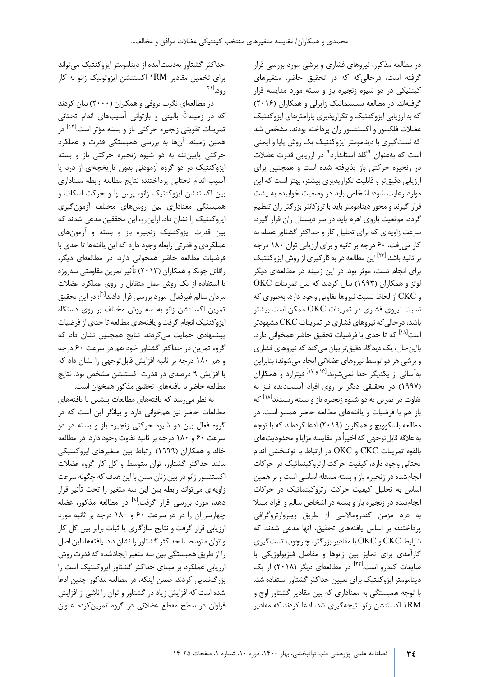در مطالعه مذکور، نیروهای فشاری و برشی مورد بررسی قرار گرفته است، درحالی که که در تحقیق حاضر، متغیرهای کینتیکی در دو شیوه زنجیره باز و بسته مورد مقایسه قرار گرفتهاند. در مطالعه سیستماتیک زاپرلی و همکاران (۲۰۱۶) که به ارزيابي ايزوکنتيک و تکرارپذيري پارامترهاي ايزوکنتيک عضلات فلکسور و اکستنسور ران پرداخته بودند، مشخص شد که تست گیری با دینامومتر ایزوکنتیک یک روش پایا و ایمنی است که به عنوان "گلد استاندارد" در ارزیابی قدرت عضلات در زنجیره حرکتی باز پذیرفته شده است و همچنین برای ارزیابی دقیق تر و قابلیت تکرارپذیری بیشتر، بهتر است که این موارد رعایت شود: اشخاص باید در وضعیت خوابیده به پشت قرار گیرند و محور دینامومتر باید با تروکانتر بزرگتر ران تنظیم گردد. موقعیت بازوی اهرم باید در سر دیستال ران قرار گیرد. سرعت زاويهاي كه براي تحليل كار و حداكثر گشتاور عضله به کار می رفت، ۶۰ درجه بر ثانيه و براي ارزيابي توان ١٨٠ درجه بر ثانیه باشد.[<sup>۲۲]</sup> این مطالعه در به کارگیری از روش ایزوکنتیک برای انجام تست، موثر بود. در این زمینه در مطالعهای دیگر لوتز و همکاران (۱۹۹۳) بیان کردند که بین تمرینات OKC و CKC از لحاظ نسبت نيروها تفاوتي وجود دارد، به طوري كه نسبت نیروی فشاری در تمرینات OKC ممکن است بیشتر باشد، در حالی که نیروهای فشاری در تمرینات CKC مشهودتر است<sup>[۱۵]</sup> که تا حدی با فرضیات تحقیق حاضر همخوانی دارد. بااین حال، یک دیدگاه دقیق تر بیان می کند که نیروهای فشاری و برشی هر دو توسط نیروهای عضلانی ایجاد میشوند؛ بنابراین بهآسانی از یکدیگر جدا نمی شوند.<sup>[۱۶ و ۱۷]</sup> فیتزارد و همکاران (۱۹۹۷) در تحقیقی دیگر بر روی افراد آسیب دیده نیز به تفاوت در تمرین به دو شیوه زنجیره باز و بسته رسیدند<sup>[۱۸]</sup> که باز هم با فرضیات و یافتههای مطالعه حاضر همسو است. در مطالعه باسکوویچ و همکاران (۲۰۱۹) ادعا کردهاند که با توجه به علاقه قابل توجهی که اخیراً در مقایسه مزایا و محدودیتهای بالقوه تمر ی نات CKC و OKC در ارتباط با توانبخش ی اندام تحتانی وجود دارد، کیفیت حرکت ارتروکینماتیک در حرکات انجام شده در زنجیره باز و بسته مسئله اساسی است و بر همین اساس به تحلیل کیفیت حرکت ارتروکینماتیک در حرکات انجام شده در زنجیره باز و بسته در اشخاص سالم و افراد مبتلا به درد مزمن کندرومالاسی از طریق ویبروارتروگرافی پرداختند؛ بر اساس یافتههای تحقیق، آنها مدعی شدند که شرایط CKC و OKC با مقادیر بزرگتر، چارچوب تست گیری کارآمدی برای تمایز بین زانوها و مفاصل فیزیولوژیکی با ضایعات کندرو است.<sup>[۲۲]</sup> در مطالعهای دیگر (۲۰۱۸) از یک دینامومتر ایزوکنتیک برای تعیین حداکثر گشتاور استفاده شد. با توجه همبستگی به معناداری که بین مقادیر گشتاور اوج و ۱RM اکستنشن زانو نتیجهگیری شد، ادعا کردند که مقادیر

حداکثر گشتاور به دستآمده از دینامومتر ایزوکنتیک می تواند برای تخمین مقادیر RM۱ اکستنشن ایزوتونیک زانو به کار رود.<sup>[۲۱]</sup>

در مطالعهای نگرت بروفی و همکاران (۲۰۰۰) بیان کردند که در زمینه ٔ بالینی و بازتوانی آسیبهای اندام تحتانی تمرینات تقویتی زنجیره حرکتی باز و بسته مؤثر است.<sup>[۱۴]</sup> در همین زمینه، آنها به بررسی همبستگی قدرت و عملکرد حرکتی پایین تنه به دو شیوه زنجیره حرکتی باز و بسته ایزوکنتیک در دو گروه آزمودنی بدون تاریخچهای از درد یا آسيب اندام تحتاني پرداختند؛ نتايج مطالعه رابطه معناداري بین اکستنشن ایزوکنتیک زانو، پرس پا و حرکت اسکات و همبستگی معناداری بین روشهای مختلف آزمون گیری ایزوکنتیک را نشان داد. ازاین رو، این محققین مدعی شدند که بین قدرت ایزوکنتیک زنجیره باز و بسته و آزمونهای عملکردی و قدرتی رابطه وجود دارد که این یافتهها تا حدی با فرضیات مطالعه حاضر همخوانی دارد. در مطالعهای دیگر، رافائل چونکا و همکاران (۲۰۱۳) تأثیر تمرین مقاومتی سهروزه با استفاده از یک روش عمل متقابل را روی عملکرد عضلات مردان سالم غیرفعال مورد بررسی قرار دادند<sup>[۹]</sup>؛ در این تحقیق تمرین اکستنشن زانو به سه روش مختلف بر روی دستگاه ایز وکنتیک انجام گرفت و یافتههای مطالعه تا حدی از فرضیات پیشنهادی حمایت می کردند. نتایج همچنین نشان داد که گروه تمرین در حداکثر گشتاور خود هم در سرعت ۶۰ درجه و هم ١٨٠ درجه بر ثانيه افزايش قابل توجهي را نشان داد که با افزایش ۹ درصدی در قدرت اکستنشن مشخص بود. نتایج مطالعه حاضر با یافتههای تحقیق مذکور همخوان است.

به نظر می رسد که یافتههای مطالعات پیشین با یافتههای مطالعات حاضر نیز همخوانی دارد و بیانگر این است که در گروه فعال بین دو شیوه حرکتی زنجیره باز و بسته در دو سرعت ۶۰ و ۱۸۰ درجه بر ثانیه تفاوت وجود دارد. در مطالعه خالد و همکاران (۱۹۹۹) ارتباط بین متغیرهای ایزوکنتیکی مانند حداکثر گشتاور، توان متوسط و کل کار گروه عضلات اکستنسور زانو در بین زنان مسن با این هدف که چگونه سرعت زاویهای می تواند رابطه بین این سه متغیر را تحت تأثیر قرار دهد، مورد بررسی قرار گرفت.<sup>[۸]</sup> در مطالعه مذکور، عضله چهارسرران را در دو سرعت ۶۰ و ۱۸۰ درجه بر ثانیه مورد ارزيابي قرار گرفت و نتايج سازگاري يا ثبات برابر بين كل كار و توان متوسط با حداکثر گشتاور را نشان داد. یافته ها،ا ی ن اصل را از طریق همبستگی بین سه متغیر ایجادشده که قدرت روش ارزيابي عملکرد بر مبناي حداکثر گشتاور ايزوکنتيک است را بزرگ نمایی کردند. ضمن اینکه، در مطالعه مذکور چنین ادعا شده است که افزایش زیاد در گشتاور و توان را ناشی از افزایش فراوان در سطح مقطع عضلانی در گروه تمرین کرده عنوان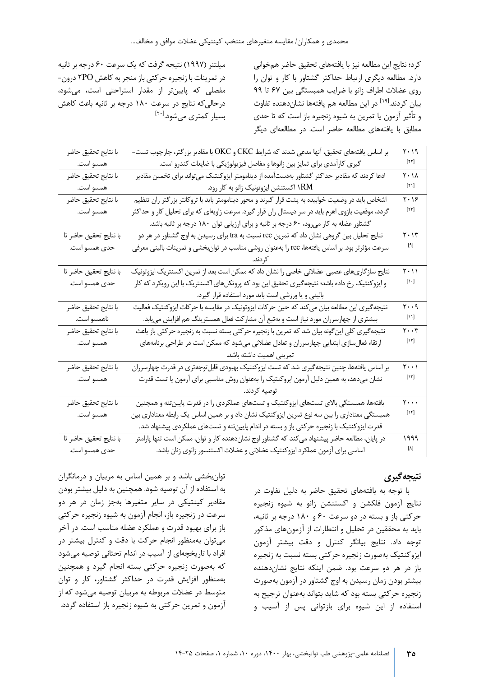میلتنر (۱۹۹۷) نتیجه گرفت که یک سرعت ۶۰ درجه بر ثانیه در تمرینات با زنجیره حرکتی باز منجر به کاهش ۲PO درون-مفصلی که پایینتر از مقدار استراحتی است، می شود، درحالی که نتایج در سرعت ۱۸۰ درجه بر ثانیه باعث کاهش بسيار كمترى مىشود.<sup>[۲۰]</sup>

کرد؛ نتایج این مطالعه نیز با یافتههای تحقیق حاضر همخوانی دارد. مطالعه دیگری ارتباط حداکثر گشتاور با کار و توان را روی عضلات اطراف زانو با ضرایب همبستگی بین ۶۷ تا ۹۹ بیان کردند.<sup>[۱۹]</sup> در این مطالعه هم یافتهها نشاندهنده تفاوت و تأثیر آزمون یا تمرین به شیوه زنجیره باز است که تا حدی مطابق با یافتههای مطالعه حاضر است. در مطالعهای دیگر

| با نتايج تحقيق حاضر    | بر اساس یافتههای تحقیق، آنها مدعی شدند که شرایط CKC و OKC با مقادیر بزرگتر، چارچوب تست-          | $Y \cdot 19$                                                                                                                                                                                                                                                                                     |
|------------------------|--------------------------------------------------------------------------------------------------|--------------------------------------------------------------------------------------------------------------------------------------------------------------------------------------------------------------------------------------------------------------------------------------------------|
| همسو است.              | گیری کارآمدی برای تمایز بین زانوها و مفاصل فیزیولوژیکی با ضایعات کندرو است.                      | $[\Upsilon\Upsilon]$                                                                                                                                                                                                                                                                             |
| با نتايج تحقيق حاضر    | ادعا کردند که مقادیر حداکثر گشتاور بهدستآمده از دینامومتر ایزوکنتیک میتواند برای تخمین مقادیر    | $Y \cdot \Delta$                                                                                                                                                                                                                                                                                 |
| همسو است.              | ۱RM اکستنشن ایزوتونیک زانو به کار رود.                                                           | $[\mathbf{v}_i]$                                                                                                                                                                                                                                                                                 |
| با نتايج تحقيق حاضر    | اشخاص باید در وضعیت خوابیده به پشت قرار گیرند و محور دینامومتر باید با تروکانتر بزرگتر ران تنظیم | ۲۰۱۶                                                                                                                                                                                                                                                                                             |
| همسو است.              | گردد، موقعیت بازوی اهرم باید در سر دیستال ران قرار گیرد. سرعت زاویهای که برای تحلیل کار و حداکثر | $[\mathsf{Y}\mathsf{Y}]$                                                                                                                                                                                                                                                                         |
|                        | گشتاور عضله به کار میرود، ۶۰ درجه بر ثانیه و برای ارزیابی توان ۱۸۰ درجه بر ثانیه باشد.           |                                                                                                                                                                                                                                                                                                  |
| با نتايج تحقيق حاضر تا | نتایج تحلیل بین گروهی نشان داد که تمرین rec نسبت به tra برای رسیدن به اوج گشتاور در هر دو        | ۲۰۱۳                                                                                                                                                                                                                                                                                             |
| حدی همسو است.          | سرعت مؤثرتر بود. بر اساس یافتهها، rec را بهعنوان روشی مناسب در توان بخشی و تمرینات بالینی معرفی  | $[\mathsf{A}]$                                                                                                                                                                                                                                                                                   |
|                        |                                                                                                  |                                                                                                                                                                                                                                                                                                  |
| با نتايج تحقيق حاضر تا | نتایج سازگاریهای عصبی-عضلانی خاصی را نشان داد که ممکن است بعد از تمرین اکسنتریک ایزوتونیک        | $\mathbf{Y} \cdot \mathbf{1}$                                                                                                                                                                                                                                                                    |
| حدي همسو است.          | و ایزوکنتیک رخ داده باشد؛ نتیجهگیری تحقیق این بود که پروتکلهای اکسنتریک با این رویکرد که کار     | $[\cdot \cdot]$                                                                                                                                                                                                                                                                                  |
|                        | بالینی و یا ورزشی است باید مورد استفاده قرار گیرد.                                               |                                                                                                                                                                                                                                                                                                  |
| با نتايج تحقيق حاضر    | نتیجهگیری این مطالعه بیان می کند که حین حرکات ایزوتونیک در مقایسه با حرکات ایزوکنتیک فعالیت      | ۲۰۰۹                                                                                                                                                                                                                                                                                             |
| ناهمسو است.            | بیشتری از چهارسرران مورد نیاز است و بهتبع أن مشاركت فعال همسترینگ هم افزایش می یابد.             | $[ \, \backslash \, ]$                                                                                                                                                                                                                                                                           |
| با نتايج تحقيق حاضر    | نتیجهگیری کلی اینگونه بیان شد که تمرین با زنجیره حرکتی بسته نسبت به زنجیره حرکتی باز باعث        | $\mathbf{y} \cdot \mathbf{y}$                                                                                                                                                                                                                                                                    |
| همسو است.              | ارتقاء فعالسازی ابتدایی چهارسرران و تعادل عضلانی میشود که ممکن است در طراحی برنامههای            | $[\mathcal{M}]$                                                                                                                                                                                                                                                                                  |
|                        | تمرینی اهمیت داشته باشد.                                                                         |                                                                                                                                                                                                                                                                                                  |
| با نتايج تحقيق حاضر    | بر اساس یافتهها، چنین نتیجه گیری شد که تست ایزوکنتیک بهبودی قابل توجهتری در قدرت چهارسرران       | $\mathbf{y} \cdot \mathbf{y}$                                                                                                                                                                                                                                                                    |
| همسو است.              | نشان میدهد، به همین دلیل آزمون ایزوکنتیک را بهعنوان روش مناسبی برای آزمون یا تست قدرت            | $[\mathcal{M}]$                                                                                                                                                                                                                                                                                  |
|                        | توصيه كردند.                                                                                     |                                                                                                                                                                                                                                                                                                  |
| با نتايج تحقيق حاضر    | یافتهها، همبستگی بالای تستهای ایزوکنتیک و تستهای عملکردی را در قدرت پایینتنه و همچنین            | $\mathbf{y} \cdot \cdot \cdot$                                                                                                                                                                                                                                                                   |
| همسو است.              | همبستگی معناداری را بین سه نوع تمرین ایزوکنتیک نشان داد و بر همین اساس یک رابطه معناداری بین     | $[\mathcal{M}]$                                                                                                                                                                                                                                                                                  |
|                        | قدرت ایزوکنتیک با زنجیره حرکتی باز و بسته در اندام پایینتنه و تستهای عملکردی پیشنهاد شد.         |                                                                                                                                                                                                                                                                                                  |
| با نتايج تحقيق حاضر تا | در پایان، مطالعه حاضر پیشنهاد میکند که گشتاور اوج نشاندهنده کار و توان، ممکن است تنها پارامتر    | ۱۹۹۹                                                                                                                                                                                                                                                                                             |
| حدي همسو است.          | اساسی برای آزمون عملکرد ایزوکنتیک عضلانی و عضلات اکستنسور زانوی زنان باشد.                       | $[\wedge] % \centering \includegraphics[width=0.9\columnwidth]{figures/fig_10.pdf} \caption{The graph $\mathcal{N}_1$ is a function of the input and the number of input regions. The number of input regions are labeled as \textit{invariant} and the number of input regions.} \label{fig:1}$ |

### **نتیجه گیري**

با توجه به یافته هاي تحقیق حاضر به دلیل تفاوت در نتایج آزمون فلکشن و اکستنشن زانو به شیوه زنجیره حرکتی باز و بسته در دو سرعت 60 و 180 درجه بر ثانیه، باید به محققین در تحلیل و انتظارات از آزمونهای مذکور توجه داد. نتایج بی انگر کنترل و دقت بیشتر آزمون ایزوکنتیک به صورت زنجیره حرکتی بسته نسبت به زنجیره باز در هر دو سرعت بود. ضمن اینکه نتایج نشاندهنده بیشتر بودن زمان رسیدن به اوج گشتاور در آزمون بهصورت زنجیره حرکتی بسته بود که شاید بتواند بهعنوان ترجیح به استفاده از این شیوه براي بازتوانی پس از آسیب و

توانبخشی باشد و بر همین اساس به مربیان و درمانگران به استفاده از آن توصیه شود. همچنین به دلیل بیشتر بودن مقادیر کینتیکی در سایر متغیرها به جز زمان در هر دو سرعت در زنجیره باز، انجام آزمون به شیوه زنجیره حرکتی باز براي بهبود قدرت و عملکرد عضله مناسب است. در آخر می توان بهمنظور انجام حرکت با دقت و کنترل بی شتر در افراد با تاریخچهای از آسیب در اندام تحتانی توصیه میشود که به صورت زنجیره حرکتی بسته انجام گیرد و همچنین بهمنظور افزایش قدرت در حداکثر گشتاور، کار و توان متوسط در عضلات مربوطه به مربیان توصیه میشود که از آزمون و تمر ین حرکتی به شیوه زنجیره باز استفاده گردد.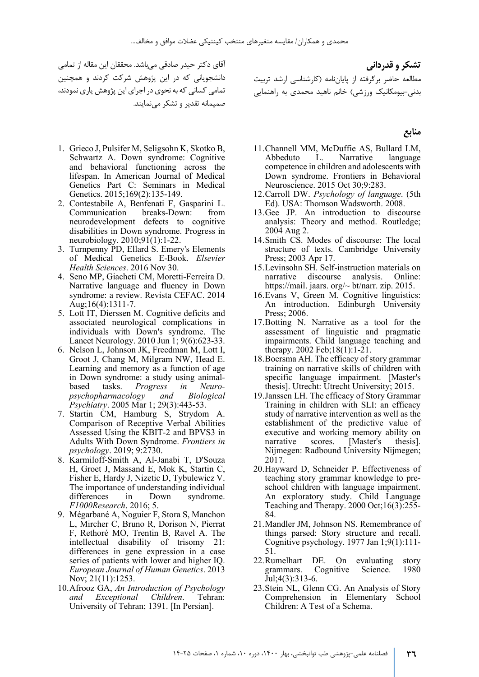آقاي دکتر حیدر صادقی می باشد. محققان این مقاله از تمامی دانشجویانی که در این پژوهش شرکت کردند و همچنین تمامی کسانی که به نحوی در اجرای این پژوهش یاری نمودند، صمیمانه تقدیر و تشکر می نمایند .

- 1. Grieco J, Pulsifer M, Seligsohn K, Skotko B, Schwartz A. Down syndrome: Cognitive and behavioral functioning across the lifespan. In American Journal of Medical Genetics Part C: Seminars in Medical Genetics. 2015;169(2):135-149.
- 2. Contestabile A, Benfenati F, Gasparini L. Communication breaks-Down: from neurodevelopment defects to cognitive disabilities in Down syndrome. Progress in neurobiology. 2010;91(1):1-22.
- 3. Turnpenny PD, Ellard S. Emery's Elements of Medical Genetics E-Book. *Elsevier Health Sciences*. 2016 Nov 30.
- 4. Seno MP, Giacheti CM, Moretti-Ferreira D. Narrative language and fluency in Down syndrome: a review. Revista CEFAC. 2014 Aug;16(4):1311-7.
- 5. Lott IT, Dierssen M. Cognitive deficits and associated neurological complications in individuals with Down's syndrome. The Lancet Neurology. 2010 Jun 1; 9(6):623-33.
- 6. Nelson L, Johnson JK, Freedman M, Lott I, Groot J, Chang M, Milgram NW, Head E. Learning and memory as a function of age in Down syndrome: a study using animalbased tasks. *Progress in Neuropsychopharmacology and Biological Psychiatry*. 2005 Mar 1; 29(3):443-53.
- 7. Startin CM, Hamburg S, Strydom A. Comparison of Receptive Verbal Abilities Assessed Using the KBIT-2 and BPVS3 in Adults With Down Syndrome. *Frontiers in psychology*. 2019; 9:2730.
- 8. Karmiloff-Smith A, Al-Janabi T, D'Souza H, Groet J, Massand E, Mok K, Startin C, Fisher E, Hardy J, Nizetic D, Tybulewicz V. The importance of understanding individual differences in Down syndrome. *F1000Research*. 2016; 5.
- 9. Mégarbané A, Noguier F, Stora S, Manchon L, Mircher C, Bruno R, Dorison N, Pierrat F, Rethoré MO, Trentin B, Ravel A. The intellectual disability of trisomy 21: differences in gene expression in a case series of patients with lower and higher IQ. *European Journal of Human Genetics*. 2013 Nov; 21(11):1253.
- 10.Afrooz GA, *An Introduction of Psychology and Exceptional Children*. Tehran: University of Tehran; 1391. [In Persian].

**تشکر و قدردانی**  مطالعه حاضر برگرفته از پایان نامه (کارشناسی ارشد تربیت بدنی - بیومکانیک ورزشی) خانم ناهید محمدي به راهنمایی

#### **منابع**

- 11.Channell MM, McDuffie AS, Bullard LM, Abbeduto L. Narrative language competence in children and adolescents with Down syndrome. Frontiers in Behavioral Neuroscience. 2015 Oct 30;9:283.
- 12.Carroll DW. *Psychology of language*. (5th Ed). USA: Thomson Wadsworth. 2008.
- 13.Gee JP. An introduction to discourse analysis: Theory and method. Routledge; 2004 Aug 2.
- 14.Smith CS. Modes of discourse: The local structure of texts. Cambridge University Press; 2003 Apr 17.
- 15.Levinsohn SH. Self-instruction materials on narrative discourse analysis. Online: https://mail. jaars. org/~ bt/narr. zip. 2015.
- 16.Evans V, Green M. Cognitive linguistics: An introduction. Edinburgh University Press; 2006.
- 17.Botting N. Narrative as a tool for the assessment of linguistic and pragmatic impairments. Child language teaching and therapy. 2002 Feb;18(1):1-21.
- 18.Boersma AH. The efficacy of story grammar training on narrative skills of children with specific language impairment. [Master's thesis]. Utrecht: Utrecht University; 2015.
- 19.Janssen LH. The efficacy of Story Grammar Training in children with SLI: an efficacy study of narrative intervention as well as the establishment of the predictive value of executive and working memory ability on narrative scores. [Master's thesis]. Nijmegen: Radbound University Nijmegen; 2017.
- 20.Hayward D, Schneider P. Effectiveness of teaching story grammar knowledge to preschool children with language impairment. An exploratory study. Child Language Teaching and Therapy. 2000 Oct;16(3):255- 84.
- 21.Mandler JM, Johnson NS. Remembrance of things parsed: Story structure and recall. Cognitive psychology. 1977 Jan 1;9(1):111- 51.
- 22.Rumelhart DE. On evaluating story grammars. Cognitive Science. 1980 Jul;4(3):313-6.
- 23.Stein NL, Glenn CG. An Analysis of Story Comprehension in Elementary School Children: A Test of a Schema.